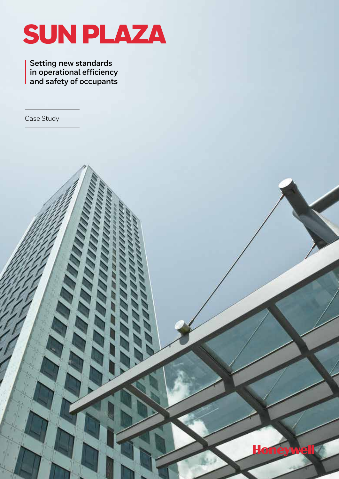

**Ho** 

**Setting new standards in operational efficiency and safety of occupants**

Case Study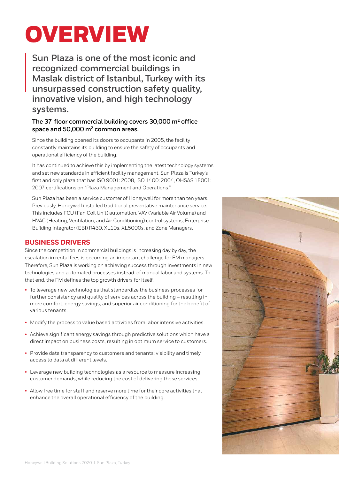# **OVERVIEW**

**Sun Plaza is one of the most iconic and recognized commercial buildings in Maslak district of Istanbul, Turkey with its unsurpassed construction safety quality, innovative vision, and high technology systems.** 

## **The 37-floor commercial building covers 30,000 m2 office space and 50,000 m2 common areas.**

Since the building opened its doors to occupants in 2005, the facility constantly maintains its building to ensure the safety of occupants and operational efficiency of the building.

It has continued to achieve this by implementing the latest technology systems and set new standards in efficient facility management. Sun Plaza is Turkey's first and only plaza that has ISO 9001: 2008, ISO 1400: 2004, OHSAS 18001: 2007 certifications on "Plaza Management and Operations."

Sun Plaza has been a service customer of Honeywell for more than ten years. Previously, Honeywell installed traditional preventative maintenance service. This includes FCU (Fan Coil Unit) automation, VAV (Variable Air Volume) and HVAC (Heating, Ventilation, and Air Conditioning) control systems, Enterprise Building Integrator (EBI) R430, XL10s, XL5000s, and Zone Managers.

# **BUSINESS DRIVERS**

Since the competition in commercial buildings is increasing day by day, the escalation in rental fees is becoming an important challenge for FM managers. Therefore, Sun Plaza is working on achieving success through investments in new technologies and automated processes instead of manual labor and systems. To that end, the FM defines the top growth drivers for itself.

- To leverage new technologies that standardize the business processes for further consistency and quality of services across the building – resulting in more comfort, energy savings, and superior air conditioning for the benefit of various tenants.
- Modify the process to value based activities from labor intensive activities.
- Achieve significant energy savings through predictive solutions which have a direct impact on business costs, resulting in optimum service to customers.
- Provide data transparency to customers and tenants; visibility and timely access to data at different levels.
- Leverage new building technologies as a resource to measure increasing customer demands, while reducing the cost of delivering those services.
- Allow free time for staff and reserve more time for their core activities that enhance the overall operational efficiency of the building.

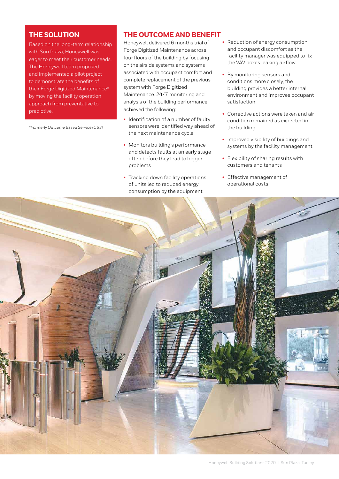## **THE SOLUTION**

Based on the long-term relationship with Sun Plaza, Honeywell was eager to meet their customer needs. The Honeywell team proposed and implemented a pilot project to demonstrate the benefits of their Forge Digitized Maintenance\* by moving the facility operation approach from preventative to predictive.

*\*Formerly Outcome Based Service (OBS)*

## **THE OUTCOME AND BENEFIT**

Honeywell delivered 6 months trial of Forge Digitized Maintenance across four floors of the building by focusing on the airside systems and systems associated with occupant comfort and complete replacement of the previous system with Forge Digitized Maintenance. 24/7 monitoring and analysis of the building performance achieved the following:

- Identification of a number of faulty sensors were identified way ahead of the next maintenance cycle
- Monitors building's performance and detects faults at an early stage often before they lead to bigger problems
- Tracking down facility operations of units led to reduced energy consumption by the equipment
- Reduction of energy consumption and occupant discomfort as the facility manager was equipped to fix the VAV boxes leaking airflow
- By monitoring sensors and conditions more closely, the building provides a better internal environment and improves occupant satisfaction
- Corrective actions were taken and air condition remained as expected in the building
- Improved visibility of buildings and systems by the facility management
- Flexibility of sharing results with customers and tenants
- Effective management of operational costs